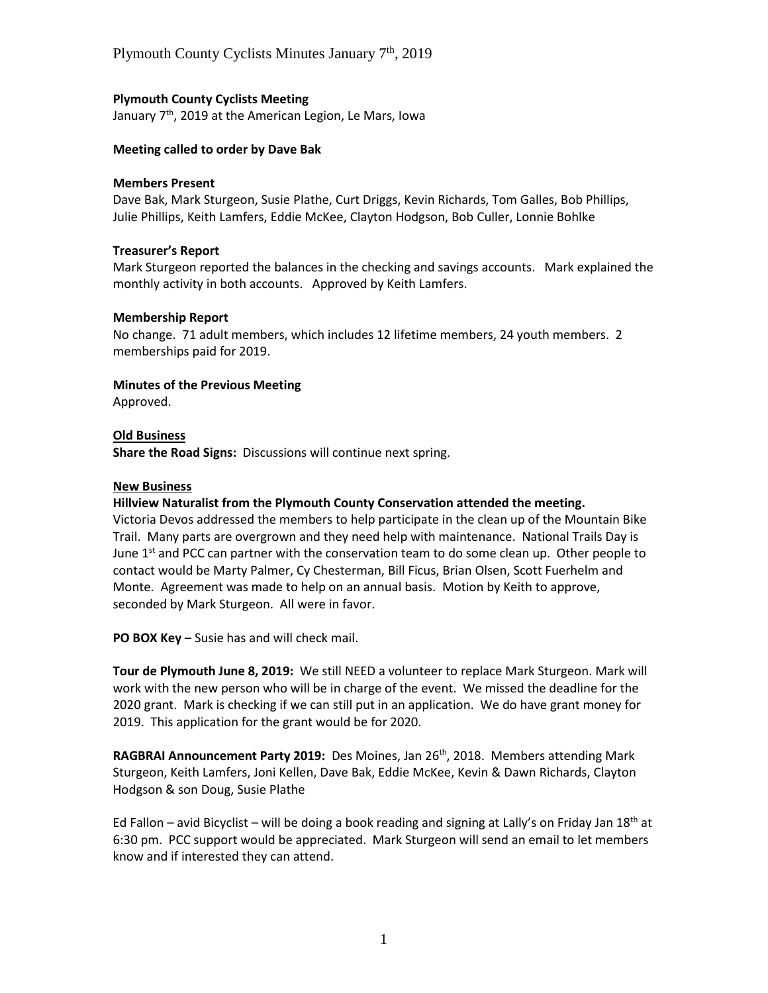# **Plymouth County Cyclists Meeting**

January  $7<sup>th</sup>$ , 2019 at the American Legion, Le Mars, Iowa

### **Meeting called to order by Dave Bak**

#### **Members Present**

Dave Bak, Mark Sturgeon, Susie Plathe, Curt Driggs, Kevin Richards, Tom Galles, Bob Phillips, Julie Phillips, Keith Lamfers, Eddie McKee, Clayton Hodgson, Bob Culler, Lonnie Bohlke

#### **Treasurer's Report**

Mark Sturgeon reported the balances in the checking and savings accounts. Mark explained the monthly activity in both accounts. Approved by Keith Lamfers.

#### **Membership Report**

No change. 71 adult members, which includes 12 lifetime members, 24 youth members. 2 memberships paid for 2019.

#### **Minutes of the Previous Meeting**

Approved.

# **Old Business**

**Share the Road Signs:** Discussions will continue next spring.

#### **New Business**

### **Hillview Naturalist from the Plymouth County Conservation attended the meeting.**

Victoria Devos addressed the members to help participate in the clean up of the Mountain Bike Trail. Many parts are overgrown and they need help with maintenance. National Trails Day is June  $1<sup>st</sup>$  and PCC can partner with the conservation team to do some clean up. Other people to contact would be Marty Palmer, Cy Chesterman, Bill Ficus, Brian Olsen, Scott Fuerhelm and Monte. Agreement was made to help on an annual basis. Motion by Keith to approve, seconded by Mark Sturgeon. All were in favor.

**PO BOX Key** – Susie has and will check mail.

**Tour de Plymouth June 8, 2019:** We still NEED a volunteer to replace Mark Sturgeon. Mark will work with the new person who will be in charge of the event. We missed the deadline for the 2020 grant. Mark is checking if we can still put in an application. We do have grant money for 2019. This application for the grant would be for 2020.

**RAGBRAI Announcement Party 2019:** Des Moines, Jan 26<sup>th</sup>, 2018. Members attending Mark Sturgeon, Keith Lamfers, Joni Kellen, Dave Bak, Eddie McKee, Kevin & Dawn Richards, Clayton Hodgson & son Doug, Susie Plathe

Ed Fallon – avid Bicyclist – will be doing a book reading and signing at Lally's on Friday Jan 18<sup>th</sup> at 6:30 pm. PCC support would be appreciated. Mark Sturgeon will send an email to let members know and if interested they can attend.